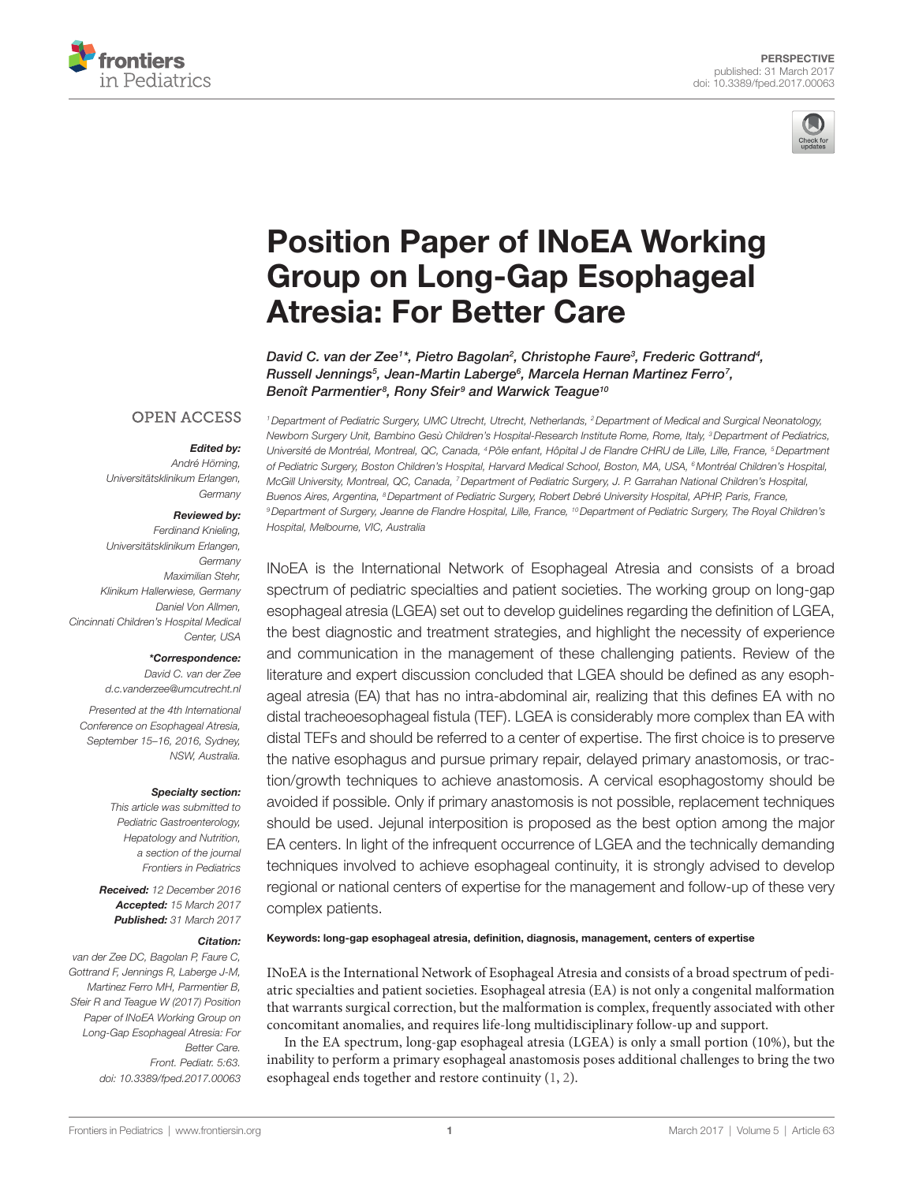



# **Position Paper of INoEA Working** Group on Long-Gap Esophageal **Atresia: For Better Care**

*[David C. van der Zee1](http://loop.frontiersin.org/people/385469) \*, [Pietro Bagolan2](http://loop.frontiersin.org/people/101430) , [Christophe Faure3](http://loop.frontiersin.org/people/97069) , [Frederic Gottrand4](http://loop.frontiersin.org/people/402919) , Russell Jennings5 , [Jean-Martin Laberge](http://loop.frontiersin.org/people/425167)6 , [Marcela Hernan Martinez Ferro7](http://loop.frontiersin.org/people/90638) , Benoît Parmentier8 , [Rony Sfeir](http://loop.frontiersin.org/people/236431) <sup>9</sup> and [Warwick Teague](http://loop.frontiersin.org/people/425153)10*

## **OPEN ACCESS**

#### *Edited by:*

*André Hörning, Universitätsklinikum Erlangen, Germany*

## *Reviewed by:*

*Ferdinand Knieling, Universitätsklinikum Erlangen, Germany Maximilian Stehr, Klinikum Hallerwiese, Germany Daniel Von Allmen, Cincinnati Children's Hospital Medical Center, USA*

#### *\*Correspondence:*

*David C. van der Zee [d.c.vanderzee@umcutrecht.nl](mailto:d.c.vanderzee@umcutrecht.nl)*

*Presented at the 4th International Conference on Esophageal Atresia, September 15–16, 2016, Sydney, NSW, Australia.*

#### *Specialty section:*

*This article was submitted to Pediatric Gastroenterology, Hepatology and Nutrition, a section of the journal Frontiers in Pediatrics*

*Received: 12 December 2016 Accepted: 15 March 2017 Published: 31 March 2017*

#### *Citation:*

*van der Zee DC, Bagolan P, Faure C, Gottrand F, Jennings R, Laberge J-M, Martinez Ferro MH, Parmentier B, Sfeir R and Teague W (2017) Position Paper of INoEA Working Group on Long-Gap Esophageal Atresia: For Better Care. Front. Pediatr. 5:63. doi: [10.3389/fped.2017.00063](https://doi.org/10.3389/fped.2017.00063)* *1Department of Pediatric Surgery, UMC Utrecht, Utrecht, Netherlands, 2Department of Medical and Surgical Neonatology, Newborn Surgery Unit, Bambino Gesù Children's Hospital-Research Institute Rome, Rome, Italy, 3Department of Pediatrics, Université de Montréal, Montreal, QC, Canada, 4Pôle enfant, Hôpital J de Flandre CHRU de Lille, Lille, France, 5Department of Pediatric Surgery, Boston Children's Hospital, Harvard Medical School, Boston, MA, USA, 6Montréal Children's Hospital, McGill University, Montreal, QC, Canada, 7Department of Pediatric Surgery, J. P. Garrahan National Children's Hospital, Buenos Aires, Argentina, 8Department of Pediatric Surgery, Robert Debré University Hospital, APHP, Paris, France, 9Department of Surgery, Jeanne de Flandre Hospital, Lille, France, 10Department of Pediatric Surgery, The Royal Children's Hospital, Melbourne, VIC, Australia*

INoEA is the International Network of Esophageal Atresia and consists of a broad spectrum of pediatric specialties and patient societies. The working group on long-gap esophageal atresia (LGEA) set out to develop guidelines regarding the definition of LGEA, the best diagnostic and treatment strategies, and highlight the necessity of experience and communication in the management of these challenging patients. Review of the literature and expert discussion concluded that LGEA should be defined as any esophageal atresia (EA) that has no intra-abdominal air, realizing that this defines EA with no distal tracheoesophageal fistula (TEF). LGEA is considerably more complex than EA with distal TEFs and should be referred to a center of expertise. The first choice is to preserve the native esophagus and pursue primary repair, delayed primary anastomosis, or traction/growth techniques to achieve anastomosis. A cervical esophagostomy should be avoided if possible. Only if primary anastomosis is not possible, replacement techniques should be used. Jejunal interposition is proposed as the best option among the major EA centers. In light of the infrequent occurrence of LGEA and the technically demanding techniques involved to achieve esophageal continuity, it is strongly advised to develop regional or national centers of expertise for the management and follow-up of these very complex patients.

## Keywords: long-gap esophageal atresia, definition, diagnosis, management, centers of expertise

INoEA is the International Network of Esophageal Atresia and consists of a broad spectrum of pediatric specialties and patient societies. Esophageal atresia (EA) is not only a congenital malformation that warrants surgical correction, but the malformation is complex, frequently associated with other concomitant anomalies, and requires life-long multidisciplinary follow-up and support.

In the EA spectrum, long-gap esophageal atresia (LGEA) is only a small portion (10%), but the inability to perform a primary esophageal anastomosis poses additional challenges to bring the two esophageal ends together and restore continuity ([1,](#page-2-0) [2](#page-2-1)).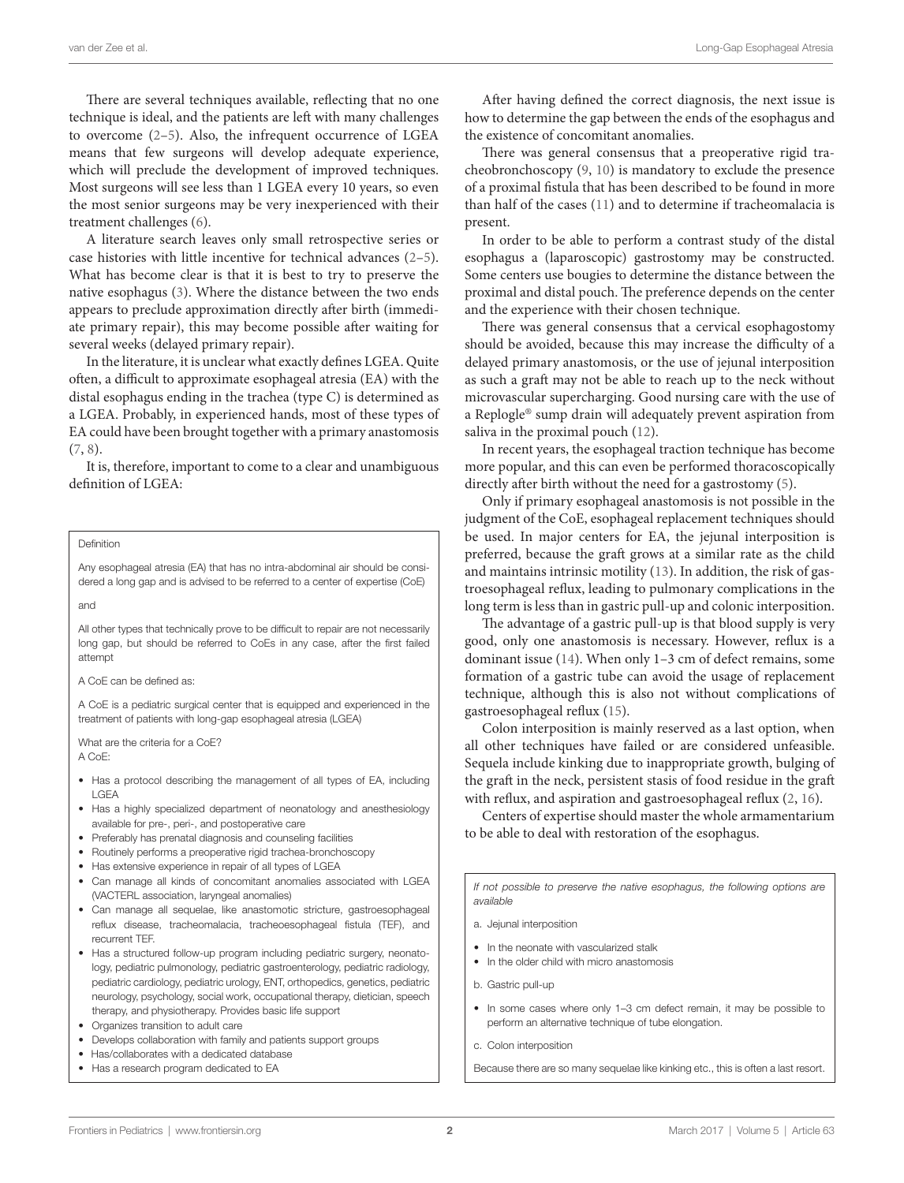There are several techniques available, reflecting that no one technique is ideal, and the patients are left with many challenges to overcome [\(2–](#page-2-1)[5](#page-2-2)). Also, the infrequent occurrence of LGEA means that few surgeons will develop adequate experience, which will preclude the development of improved techniques. Most surgeons will see less than 1 LGEA every 10 years, so even the most senior surgeons may be very inexperienced with their treatment challenges [\(6\)](#page-2-3).

A literature search leaves only small retrospective series or case histories with little incentive for technical advances ([2](#page-2-1)[–5\)](#page-2-2). What has become clear is that it is best to try to preserve the native esophagus [\(3\)](#page-2-4). Where the distance between the two ends appears to preclude approximation directly after birth (immediate primary repair), this may become possible after waiting for several weeks (delayed primary repair).

In the literature, it is unclear what exactly defines LGEA. Quite often, a difficult to approximate esophageal atresia (EA) with the distal esophagus ending in the trachea (type C) is determined as a LGEA. Probably, in experienced hands, most of these types of EA could have been brought together with a primary anastomosis ([7](#page-2-5), [8](#page-2-6)).

It is, therefore, important to come to a clear and unambiguous definition of LGEA:

#### Definition

Any esophageal atresia (EA) that has no intra-abdominal air should be considered a long gap and is advised to be referred to a center of expertise (CoE)

and

All other types that technically prove to be difficult to repair are not necessarily long gap, but should be referred to CoEs in any case, after the first failed attempt

A CoE can be defined as:

A CoE is a pediatric surgical center that is equipped and experienced in the treatment of patients with long-gap esophageal atresia (LGEA)

What are the criteria for a CoE? A CoE:

- Has a protocol describing the management of all types of EA, including LGEA
- Has a highly specialized department of neonatology and anesthesiology available for pre-, peri-, and postoperative care
- Preferably has prenatal diagnosis and counseling facilities
- Routinely performs a preoperative rigid trachea-bronchoscopy
- Has extensive experience in repair of all types of LGEA
- Can manage all kinds of concomitant anomalies associated with LGEA (VACTERL association, laryngeal anomalies)
- Can manage all sequelae, like anastomotic stricture, gastroesophageal reflux disease, tracheomalacia, tracheoesophageal fistula (TEF), and recurrent TEF.
- Has a structured follow-up program including pediatric surgery, neonatology, pediatric pulmonology, pediatric gastroenterology, pediatric radiology, pediatric cardiology, pediatric urology, ENT, orthopedics, genetics, pediatric neurology, psychology, social work, occupational therapy, dietician, speech therapy, and physiotherapy. Provides basic life support
- Organizes transition to adult care
- Develops collaboration with family and patients support groups
- Has/collaborates with a dedicated database
- Has a research program dedicated to EA

After having defined the correct diagnosis, the next issue is how to determine the gap between the ends of the esophagus and the existence of concomitant anomalies.

There was general consensus that a preoperative rigid tracheobronchoscopy [\(9,](#page-2-7) [10\)](#page-2-8) is mandatory to exclude the presence of a proximal fistula that has been described to be found in more than half of the cases [\(11\)](#page-2-9) and to determine if tracheomalacia is present.

In order to be able to perform a contrast study of the distal esophagus a (laparoscopic) gastrostomy may be constructed. Some centers use bougies to determine the distance between the proximal and distal pouch. The preference depends on the center and the experience with their chosen technique.

There was general consensus that a cervical esophagostomy should be avoided, because this may increase the difficulty of a delayed primary anastomosis, or the use of jejunal interposition as such a graft may not be able to reach up to the neck without microvascular supercharging. Good nursing care with the use of a Replogle® sump drain will adequately prevent aspiration from saliva in the proximal pouch [\(12\)](#page-2-10).

In recent years, the esophageal traction technique has become more popular, and this can even be performed thoracoscopically directly after birth without the need for a gastrostomy ([5](#page-2-2)).

Only if primary esophageal anastomosis is not possible in the judgment of the CoE, esophageal replacement techniques should be used. In major centers for EA, the jejunal interposition is preferred, because the graft grows at a similar rate as the child and maintains intrinsic motility [\(13](#page-2-11)). In addition, the risk of gastroesophageal reflux, leading to pulmonary complications in the long term is less than in gastric pull-up and colonic interposition.

The advantage of a gastric pull-up is that blood supply is very good, only one anastomosis is necessary. However, reflux is a dominant issue [\(14\)](#page-2-12). When only 1–3 cm of defect remains, some formation of a gastric tube can avoid the usage of replacement technique, although this is also not without complications of gastroesophageal reflux [\(15\)](#page-2-13).

Colon interposition is mainly reserved as a last option, when all other techniques have failed or are considered unfeasible. Sequela include kinking due to inappropriate growth, bulging of the graft in the neck, persistent stasis of food residue in the graft with reflux, and aspiration and gastroesophageal reflux ([2](#page-2-1), [16\)](#page-2-14).

Centers of expertise should master the whole armamentarium to be able to deal with restoration of the esophagus.

*If not possible to preserve the native esophagus, the following options are available*

- a. Jejunal interposition
- In the neonate with vascularized stalk
- In the older child with micro anastomosis
- b. Gastric pull-up
- In some cases where only 1–3 cm defect remain, it may be possible to perform an alternative technique of tube elongation.
- c. Colon interposition

Because there are so many sequelae like kinking etc., this is often a last resort.